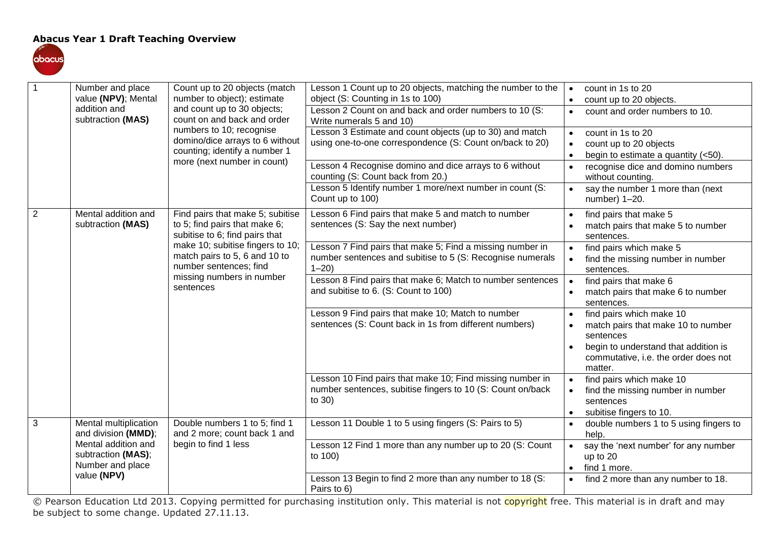## **Abacus Year 1 Draft Teaching Overview**



| $\overline{1}$ | Number and place<br>value (NPV); Mental                       | Count up to 20 objects (match<br>number to object); estimate<br>and count up to 30 objects;<br>count on and back and order            | Lesson 1 Count up to 20 objects, matching the number to the<br>object (S: Counting in 1s to 100)                                    | count in 1s to 20<br>$\bullet$<br>count up to 20 objects.<br>$\bullet$                                                                                                 |
|----------------|---------------------------------------------------------------|---------------------------------------------------------------------------------------------------------------------------------------|-------------------------------------------------------------------------------------------------------------------------------------|------------------------------------------------------------------------------------------------------------------------------------------------------------------------|
|                | addition and<br>subtraction (MAS)                             |                                                                                                                                       | Lesson 2 Count on and back and order numbers to 10 (S:<br>Write numerals 5 and 10)                                                  | count and order numbers to 10.<br>$\bullet$                                                                                                                            |
|                |                                                               | numbers to 10; recognise<br>domino/dice arrays to 6 without<br>counting; identify a number 1                                          | Lesson 3 Estimate and count objects (up to 30) and match<br>using one-to-one correspondence (S: Count on/back to 20)                | count in 1s to 20<br>$\bullet$<br>count up to 20 objects<br>$\bullet$<br>begin to estimate a quantity (<50).<br>$\bullet$                                              |
|                |                                                               | more (next number in count)                                                                                                           | Lesson 4 Recognise domino and dice arrays to 6 without<br>counting (S: Count back from 20.)                                         | recognise dice and domino numbers<br>$\bullet$<br>without counting.                                                                                                    |
|                |                                                               |                                                                                                                                       | Lesson 5 Identify number 1 more/next number in count (S:<br>Count up to 100)                                                        | say the number 1 more than (next<br>$\bullet$<br>number) 1-20.                                                                                                         |
| $\overline{2}$ | Mental addition and<br>subtraction (MAS)                      | Find pairs that make 5; subitise<br>to 5; find pairs that make 6;<br>subitise to 6; find pairs that                                   | Lesson 6 Find pairs that make 5 and match to number<br>sentences (S: Say the next number)                                           | find pairs that make 5<br>$\bullet$<br>match pairs that make 5 to number<br>sentences.                                                                                 |
|                |                                                               | make 10; subitise fingers to 10;<br>match pairs to 5, 6 and 10 to<br>number sentences; find<br>missing numbers in number<br>sentences | Lesson 7 Find pairs that make 5; Find a missing number in<br>number sentences and subitise to 5 (S: Recognise numerals<br>$1 - 20$  | find pairs which make 5<br>$\bullet$<br>find the missing number in number<br>$\bullet$<br>sentences.                                                                   |
|                |                                                               |                                                                                                                                       | Lesson 8 Find pairs that make 6; Match to number sentences<br>and subitise to 6. (S: Count to 100)                                  | $\bullet$<br>find pairs that make 6<br>match pairs that make 6 to number<br>$\bullet$<br>sentences.                                                                    |
|                |                                                               |                                                                                                                                       | Lesson 9 Find pairs that make 10; Match to number<br>sentences (S: Count back in 1s from different numbers)                         | find pairs which make 10<br>match pairs that make 10 to number<br>sentences<br>begin to understand that addition is<br>commutative, i.e. the order does not<br>matter. |
|                |                                                               |                                                                                                                                       | Lesson 10 Find pairs that make 10; Find missing number in<br>number sentences, subitise fingers to 10 (S: Count on/back<br>to $30)$ | find pairs which make 10<br>$\bullet$<br>find the missing number in number<br>$\bullet$<br>sentences<br>subitise fingers to 10.<br>$\bullet$                           |
| 3              | Mental multiplication<br>and division (MMD);                  | Double numbers 1 to 5; find 1<br>and 2 more; count back 1 and                                                                         | Lesson 11 Double 1 to 5 using fingers (S: Pairs to 5)                                                                               | double numbers 1 to 5 using fingers to<br>$\bullet$<br>help.                                                                                                           |
| value (NPV)    | Mental addition and<br>subtraction (MAS);<br>Number and place | begin to find 1 less                                                                                                                  | Lesson 12 Find 1 more than any number up to 20 (S: Count<br>to 100)                                                                 | say the 'next number' for any number<br>$\bullet$<br>up to 20<br>find 1 more.<br>$\bullet$                                                                             |
|                |                                                               |                                                                                                                                       | Lesson 13 Begin to find 2 more than any number to 18 (S:<br>Pairs to 6)                                                             | find 2 more than any number to 18.<br>$\bullet$                                                                                                                        |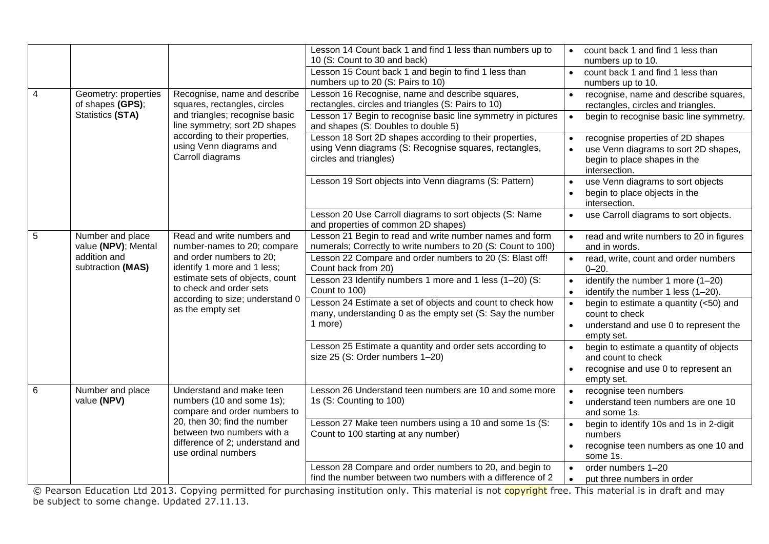|                |                                          |                                                                                                                      | Lesson 14 Count back 1 and find 1 less than numbers up to<br>10 (S: Count to 30 and back)                                                   |                        | count back 1 and find 1 less than<br>numbers up to 10.                                                                     |
|----------------|------------------------------------------|----------------------------------------------------------------------------------------------------------------------|---------------------------------------------------------------------------------------------------------------------------------------------|------------------------|----------------------------------------------------------------------------------------------------------------------------|
|                |                                          |                                                                                                                      | Lesson 15 Count back 1 and begin to find 1 less than<br>numbers up to 20 (S: Pairs to 10)                                                   | $\bullet$              | count back 1 and find 1 less than<br>numbers up to 10.                                                                     |
| $\overline{4}$ | Geometry: properties<br>of shapes (GPS); | Recognise, name and describe<br>squares, rectangles, circles                                                         | Lesson 16 Recognise, name and describe squares,<br>rectangles, circles and triangles (S: Pairs to 10)                                       | $\bullet$              | recognise, name and describe squares,<br>rectangles, circles and triangles.                                                |
|                | Statistics (STA)                         | and triangles; recognise basic<br>line symmetry; sort 2D shapes                                                      | Lesson 17 Begin to recognise basic line symmetry in pictures<br>and shapes (S: Doubles to double 5)                                         | $\bullet$              | begin to recognise basic line symmetry.                                                                                    |
|                |                                          | according to their properties,<br>using Venn diagrams and<br>Carroll diagrams                                        | Lesson 18 Sort 2D shapes according to their properties,<br>using Venn diagrams (S: Recognise squares, rectangles,<br>circles and triangles) |                        | recognise properties of 2D shapes<br>use Venn diagrams to sort 2D shapes,<br>begin to place shapes in the<br>intersection. |
|                |                                          |                                                                                                                      | Lesson 19 Sort objects into Venn diagrams (S: Pattern)                                                                                      |                        | use Venn diagrams to sort objects<br>begin to place objects in the<br>intersection.                                        |
|                |                                          |                                                                                                                      | Lesson 20 Use Carroll diagrams to sort objects (S: Name<br>and properties of common 2D shapes)                                              | $\bullet$              | use Carroll diagrams to sort objects.                                                                                      |
| 5              | Number and place<br>value (NPV); Mental  | Read and write numbers and<br>number-names to 20; compare                                                            | Lesson 21 Begin to read and write number names and form<br>numerals; Correctly to write numbers to 20 (S: Count to 100)                     | $\bullet$              | read and write numbers to 20 in figures<br>and in words.                                                                   |
|                | addition and<br>subtraction (MAS)        | and order numbers to 20;<br>identify 1 more and 1 less;                                                              | Lesson 22 Compare and order numbers to 20 (S: Blast off!<br>Count back from 20)                                                             |                        | read, write, count and order numbers<br>$0 - 20.$                                                                          |
|                |                                          | estimate sets of objects, count<br>to check and order sets                                                           | Lesson 23 Identify numbers 1 more and 1 less (1-20) (S:<br>Count to 100)                                                                    | $\bullet$              | identify the number 1 more (1-20)<br>identify the number 1 less (1-20).                                                    |
|                |                                          | according to size; understand 0<br>as the empty set                                                                  | Lesson 24 Estimate a set of objects and count to check how<br>many, understanding 0 as the empty set (S: Say the number                     | $\bullet$              | begin to estimate a quantity (<50) and<br>count to check                                                                   |
|                |                                          |                                                                                                                      | 1 more)                                                                                                                                     | $\bullet$              | understand and use 0 to represent the<br>empty set.                                                                        |
|                |                                          |                                                                                                                      | Lesson 25 Estimate a quantity and order sets according to<br>size 25 (S: Order numbers 1-20)                                                | $\bullet$              | begin to estimate a quantity of objects<br>and count to check                                                              |
|                |                                          |                                                                                                                      |                                                                                                                                             | $\bullet$              | recognise and use 0 to represent an<br>empty set.                                                                          |
| 6              | Number and place<br>value (NPV)          | Understand and make teen<br>numbers (10 and some 1s);<br>compare and order numbers to                                | Lesson 26 Understand teen numbers are 10 and some more<br>1s (S: Counting to 100)                                                           | $\bullet$<br>$\bullet$ | recognise teen numbers<br>understand teen numbers are one 10<br>and some 1s.                                               |
|                |                                          | 20, then 30; find the number<br>between two numbers with a<br>difference of 2; understand and<br>use ordinal numbers | Lesson 27 Make teen numbers using a 10 and some 1s (S:<br>Count to 100 starting at any number)                                              | $\bullet$              | begin to identify 10s and 1s in 2-digit<br>numbers<br>recognise teen numbers as one 10 and<br>some 1s.                     |
|                |                                          |                                                                                                                      | Lesson 28 Compare and order numbers to 20, and begin to<br>find the number between two numbers with a difference of 2                       | $\bullet$<br>$\bullet$ | order numbers 1-20<br>put three numbers in order                                                                           |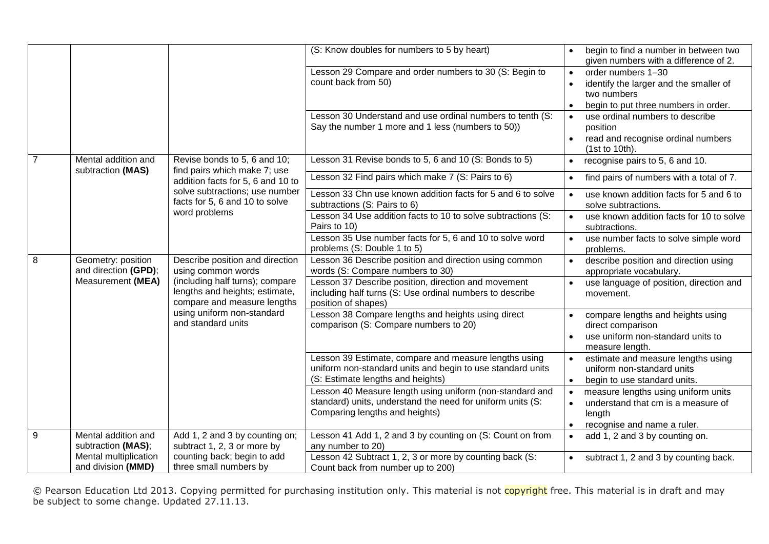|                |                                             |                                                                                                                                                      | (S: Know doubles for numbers to 5 by heart)                                                                                                              |                        | begin to find a number in between two<br>given numbers with a difference of 2.                                      |
|----------------|---------------------------------------------|------------------------------------------------------------------------------------------------------------------------------------------------------|----------------------------------------------------------------------------------------------------------------------------------------------------------|------------------------|---------------------------------------------------------------------------------------------------------------------|
|                |                                             |                                                                                                                                                      | Lesson 29 Compare and order numbers to 30 (S: Begin to<br>count back from 50)                                                                            | $\bullet$<br>$\bullet$ | order numbers 1-30<br>identify the larger and the smaller of<br>two numbers<br>begin to put three numbers in order. |
|                |                                             |                                                                                                                                                      | Lesson 30 Understand and use ordinal numbers to tenth (S:<br>Say the number 1 more and 1 less (numbers to 50))                                           | $\bullet$<br>$\bullet$ | use ordinal numbers to describe<br>position<br>read and recognise ordinal numbers<br>(1st to 10th).                 |
| $\overline{7}$ | Mental addition and                         | Revise bonds to 5, 6 and 10;                                                                                                                         | Lesson 31 Revise bonds to 5, 6 and 10 (S: Bonds to 5)                                                                                                    | $\bullet$              | recognise pairs to 5, 6 and 10.                                                                                     |
|                | subtraction (MAS)                           | find pairs which make 7; use<br>addition facts for 5, 6 and 10 to                                                                                    | Lesson 32 Find pairs which make 7 (S: Pairs to 6)                                                                                                        | $\bullet$              | find pairs of numbers with a total of 7.                                                                            |
|                |                                             | solve subtractions; use number<br>facts for 5, 6 and 10 to solve                                                                                     | Lesson 33 Chn use known addition facts for 5 and 6 to solve<br>subtractions (S: Pairs to 6)                                                              | $\bullet$              | use known addition facts for 5 and 6 to<br>solve subtractions.                                                      |
|                |                                             | word problems                                                                                                                                        | Lesson 34 Use addition facts to 10 to solve subtractions (S:<br>Pairs to 10)                                                                             | $\bullet$              | use known addition facts for 10 to solve<br>subtractions.                                                           |
|                |                                             |                                                                                                                                                      | Lesson 35 Use number facts for 5, 6 and 10 to solve word<br>problems (S: Double 1 to 5)                                                                  | $\bullet$              | use number facts to solve simple word<br>problems.                                                                  |
| 8              | Geometry: position<br>and direction (GPD);  | Describe position and direction<br>using common words                                                                                                | Lesson 36 Describe position and direction using common<br>words (S: Compare numbers to 30)                                                               | $\bullet$              | describe position and direction using<br>appropriate vocabulary.                                                    |
|                | Measurement (MEA)                           | (including half turns); compare<br>lengths and heights; estimate,<br>compare and measure lengths<br>using uniform non-standard<br>and standard units | Lesson 37 Describe position, direction and movement<br>including half turns (S: Use ordinal numbers to describe<br>position of shapes)                   | $\bullet$              | use language of position, direction and<br>movement.                                                                |
|                |                                             |                                                                                                                                                      | Lesson 38 Compare lengths and heights using direct<br>comparison (S: Compare numbers to 20)                                                              | $\bullet$<br>$\bullet$ | compare lengths and heights using<br>direct comparison<br>use uniform non-standard units to<br>measure length.      |
|                |                                             |                                                                                                                                                      | Lesson 39 Estimate, compare and measure lengths using<br>uniform non-standard units and begin to use standard units<br>(S: Estimate lengths and heights) | $\bullet$<br>$\bullet$ | estimate and measure lengths using<br>uniform non-standard units<br>begin to use standard units.                    |
|                |                                             |                                                                                                                                                      | Lesson 40 Measure length using uniform (non-standard and<br>standard) units, understand the need for uniform units (S:<br>Comparing lengths and heights) | $\bullet$<br>$\bullet$ | measure lengths using uniform units<br>understand that cm is a measure of<br>length<br>recognise and name a ruler.  |
| 9              | Mental addition and<br>subtraction (MAS);   | Add 1, 2 and 3 by counting on;<br>subtract 1, 2, 3 or more by                                                                                        | Lesson 41 Add 1, 2 and 3 by counting on (S: Count on from<br>any number to 20)                                                                           | $\bullet$              | add 1, 2 and 3 by counting on.                                                                                      |
|                | Mental multiplication<br>and division (MMD) | counting back; begin to add<br>three small numbers by                                                                                                | Lesson 42 Subtract 1, 2, 3 or more by counting back (S:<br>Count back from number up to 200)                                                             | $\bullet$              | subtract 1, 2 and 3 by counting back.                                                                               |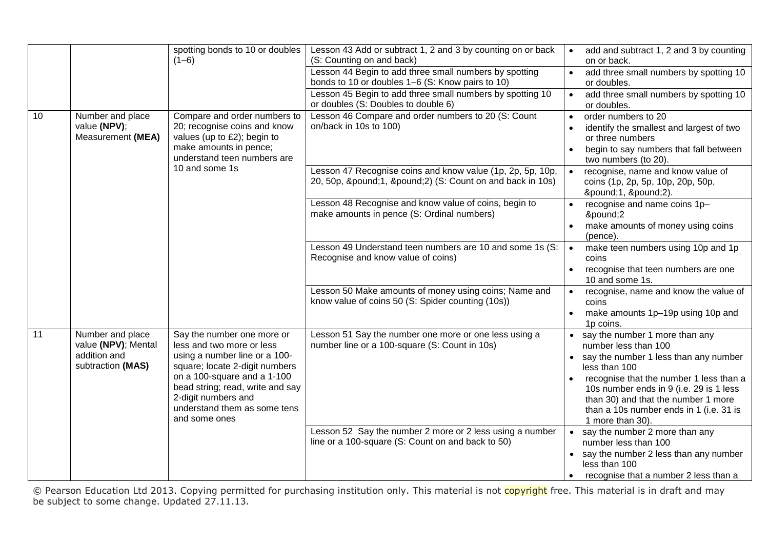|    |                                                                              | spotting bonds to 10 or doubles<br>$(1-6)$                                                                                                                                                                                                                            | Lesson 43 Add or subtract 1, 2 and 3 by counting on or back<br>(S: Counting on and back)                      | add and subtract 1, 2 and 3 by counting<br>$\bullet$<br>on or back.                                                                                                                                                                                                                                                           |
|----|------------------------------------------------------------------------------|-----------------------------------------------------------------------------------------------------------------------------------------------------------------------------------------------------------------------------------------------------------------------|---------------------------------------------------------------------------------------------------------------|-------------------------------------------------------------------------------------------------------------------------------------------------------------------------------------------------------------------------------------------------------------------------------------------------------------------------------|
|    |                                                                              |                                                                                                                                                                                                                                                                       | Lesson 44 Begin to add three small numbers by spotting<br>bonds to 10 or doubles 1–6 (S: Know pairs to 10)    | add three small numbers by spotting 10<br>$\bullet$<br>or doubles.                                                                                                                                                                                                                                                            |
|    |                                                                              |                                                                                                                                                                                                                                                                       | Lesson 45 Begin to add three small numbers by spotting 10<br>or doubles (S: Doubles to double 6)              | add three small numbers by spotting 10<br>$\bullet$<br>or doubles.                                                                                                                                                                                                                                                            |
| 10 | Number and place<br>value (NPV);<br>Measurement (MEA)                        | Compare and order numbers to<br>20; recognise coins and know<br>values (up to £2); begin to<br>make amounts in pence;<br>understand teen numbers are                                                                                                                  | Lesson 46 Compare and order numbers to 20 (S: Count<br>on/back in 10s to 100)                                 | order numbers to 20<br>$\bullet$<br>identify the smallest and largest of two<br>or three numbers<br>begin to say numbers that fall between<br>two numbers (to 20).                                                                                                                                                            |
|    |                                                                              | 10 and some 1s                                                                                                                                                                                                                                                        | Lesson 47 Recognise coins and know value (1p, 2p, 5p, 10p,<br>20, 50p, £1, £2) (S: Count on and back in 10s)  | recognise, name and know value of<br>$\bullet$<br>coins (1p, 2p, 5p, 10p, 20p, 50p,<br>£1, £2).                                                                                                                                                                                                                               |
|    |                                                                              |                                                                                                                                                                                                                                                                       | Lesson 48 Recognise and know value of coins, begin to<br>make amounts in pence (S: Ordinal numbers)           | recognise and name coins 1p-<br>$\bullet$<br>£2<br>make amounts of money using coins<br>(pence).                                                                                                                                                                                                                              |
|    |                                                                              |                                                                                                                                                                                                                                                                       | Lesson 49 Understand teen numbers are 10 and some 1s (S:<br>Recognise and know value of coins)                | make teen numbers using 10p and 1p<br>$\bullet$<br>coins<br>recognise that teen numbers are one<br>$\bullet$<br>10 and some 1s.                                                                                                                                                                                               |
|    |                                                                              |                                                                                                                                                                                                                                                                       | Lesson 50 Make amounts of money using coins; Name and<br>know value of coins 50 (S: Spider counting (10s))    | recognise, name and know the value of<br>$\bullet$<br>coins<br>make amounts 1p-19p using 10p and<br>1p coins.                                                                                                                                                                                                                 |
| 11 | Number and place<br>value (NPV); Mental<br>addition and<br>subtraction (MAS) | Say the number one more or<br>less and two more or less<br>using a number line or a 100-<br>square; locate 2-digit numbers<br>on a 100-square and a 1-100<br>bead string; read, write and say<br>2-digit numbers and<br>understand them as some tens<br>and some ones | Lesson 51 Say the number one more or one less using a<br>number line or a 100-square (S: Count in 10s)        | • say the number 1 more than any<br>number less than 100<br>• say the number 1 less than any number<br>less than 100<br>recognise that the number 1 less than a<br>$\bullet$<br>10s number ends in 9 (i.e. 29 is 1 less<br>than 30) and that the number 1 more<br>than a 10s number ends in 1 (i.e. 31 is<br>1 more than 30). |
|    |                                                                              |                                                                                                                                                                                                                                                                       | Lesson 52 Say the number 2 more or 2 less using a number<br>line or a 100-square (S: Count on and back to 50) | • say the number 2 more than any<br>number less than 100<br>• say the number 2 less than any number<br>less than 100<br>recognise that a number 2 less than a                                                                                                                                                                 |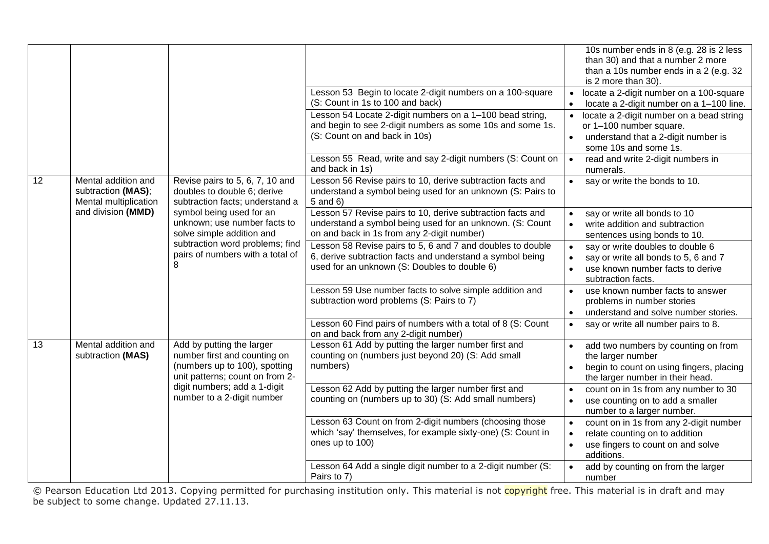|    |                                                                    |                                                                                                                                                                   | Lesson 53 Begin to locate 2-digit numbers on a 100-square                                                                                                               | 10s number ends in 8 (e.g. 28 is 2 less<br>than 30) and that a number 2 more<br>than a 10s number ends in a 2 (e.g. 32)<br>is 2 more than 30).<br>locate a 2-digit number on a 100-square |
|----|--------------------------------------------------------------------|-------------------------------------------------------------------------------------------------------------------------------------------------------------------|-------------------------------------------------------------------------------------------------------------------------------------------------------------------------|-------------------------------------------------------------------------------------------------------------------------------------------------------------------------------------------|
|    |                                                                    |                                                                                                                                                                   | (S: Count in 1s to 100 and back)                                                                                                                                        | locate a 2-digit number on a 1-100 line.<br>$\bullet$                                                                                                                                     |
|    |                                                                    |                                                                                                                                                                   | Lesson 54 Locate 2-digit numbers on a 1-100 bead string,<br>and begin to see 2-digit numbers as some 10s and some 1s.                                                   | locate a 2-digit number on a bead string<br>$\bullet$<br>or 1-100 number square.                                                                                                          |
|    |                                                                    |                                                                                                                                                                   | (S: Count on and back in 10s)                                                                                                                                           | understand that a 2-digit number is<br>$\bullet$<br>some 10s and some 1s.                                                                                                                 |
|    |                                                                    |                                                                                                                                                                   | Lesson 55 Read, write and say 2-digit numbers (S: Count on<br>and back in 1s)                                                                                           | $\bullet$<br>read and write 2-digit numbers in<br>numerals.                                                                                                                               |
| 12 | Mental addition and<br>subtraction (MAS);<br>Mental multiplication | Revise pairs to 5, 6, 7, 10 and<br>doubles to double 6; derive<br>subtraction facts; understand a                                                                 | Lesson 56 Revise pairs to 10, derive subtraction facts and<br>understand a symbol being used for an unknown (S: Pairs to<br>5 and 6)                                    | say or write the bonds to 10.<br>$\bullet$                                                                                                                                                |
|    | and division (MMD)                                                 | symbol being used for an<br>unknown; use number facts to<br>solve simple addition and<br>subtraction word problems; find<br>pairs of numbers with a total of<br>8 | Lesson 57 Revise pairs to 10, derive subtraction facts and<br>understand a symbol being used for an unknown. (S: Count<br>on and back in 1s from any 2-digit number)    | say or write all bonds to 10<br>$\bullet$<br>write addition and subtraction<br>$\bullet$<br>sentences using bonds to 10.                                                                  |
|    |                                                                    |                                                                                                                                                                   | Lesson 58 Revise pairs to 5, 6 and 7 and doubles to double<br>6, derive subtraction facts and understand a symbol being<br>used for an unknown (S: Doubles to double 6) | say or write doubles to double 6<br>$\bullet$<br>say or write all bonds to 5, 6 and 7<br>use known number facts to derive<br>$\bullet$<br>subtraction facts.                              |
|    |                                                                    |                                                                                                                                                                   | Lesson 59 Use number facts to solve simple addition and<br>subtraction word problems (S: Pairs to 7)                                                                    | use known number facts to answer<br>$\bullet$<br>problems in number stories<br>understand and solve number stories.<br>$\bullet$                                                          |
|    |                                                                    |                                                                                                                                                                   | Lesson 60 Find pairs of numbers with a total of 8 (S: Count<br>on and back from any 2-digit number)                                                                     | say or write all number pairs to 8.<br>$\bullet$                                                                                                                                          |
| 13 | Mental addition and<br>subtraction (MAS)                           | Add by putting the larger<br>number first and counting on                                                                                                         | Lesson 61 Add by putting the larger number first and<br>counting on (numbers just beyond 20) (S: Add small                                                              | add two numbers by counting on from<br>the larger number                                                                                                                                  |
|    | (numbers up to 100), spotting<br>unit patterns; count on from 2-   | numbers)                                                                                                                                                          | begin to count on using fingers, placing<br>the larger number in their head.                                                                                            |                                                                                                                                                                                           |
|    |                                                                    | digit numbers; add a 1-digit<br>number to a 2-digit number                                                                                                        | Lesson 62 Add by putting the larger number first and<br>counting on (numbers up to 30) (S: Add small numbers)                                                           | count on in 1s from any number to 30<br>use counting on to add a smaller<br>$\bullet$<br>number to a larger number.                                                                       |
|    |                                                                    |                                                                                                                                                                   | Lesson 63 Count on from 2-digit numbers (choosing those<br>which 'say' themselves, for example sixty-one) (S: Count in<br>ones up to 100)                               | count on in 1s from any 2-digit number<br>$\bullet$<br>relate counting on to addition<br>$\bullet$<br>use fingers to count on and solve<br>$\bullet$<br>additions.                        |
|    |                                                                    |                                                                                                                                                                   | Lesson 64 Add a single digit number to a 2-digit number (S:<br>Pairs to 7)                                                                                              | add by counting on from the larger<br>number                                                                                                                                              |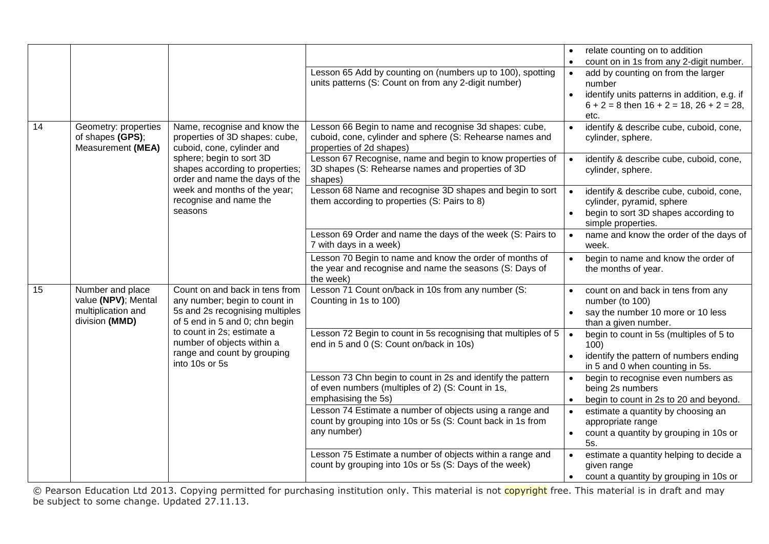|    |                                          |                                                                   |                                                                                                                     |                        | relate counting on to addition                                                                   |
|----|------------------------------------------|-------------------------------------------------------------------|---------------------------------------------------------------------------------------------------------------------|------------------------|--------------------------------------------------------------------------------------------------|
|    |                                          |                                                                   |                                                                                                                     |                        | count on in 1s from any 2-digit number.                                                          |
|    |                                          |                                                                   | Lesson 65 Add by counting on (numbers up to 100), spotting                                                          | $\bullet$              | add by counting on from the larger                                                               |
|    |                                          |                                                                   | units patterns (S: Count on from any 2-digit number)                                                                |                        | number                                                                                           |
|    |                                          |                                                                   |                                                                                                                     | $\bullet$              | identify units patterns in addition, e.g. if<br>$6 + 2 = 8$ then $16 + 2 = 18$ , $26 + 2 = 28$ , |
|    |                                          |                                                                   |                                                                                                                     |                        | etc.                                                                                             |
| 14 | Geometry: properties<br>of shapes (GPS); | Name, recognise and know the<br>properties of 3D shapes: cube,    | Lesson 66 Begin to name and recognise 3d shapes: cube,                                                              | $\bullet$              | identify & describe cube, cuboid, cone,                                                          |
|    | Measurement (MEA)                        | cuboid, cone, cylinder and                                        | cuboid, cone, cylinder and sphere (S: Rehearse names and<br>properties of 2d shapes)                                |                        | cylinder, sphere.                                                                                |
|    |                                          | sphere; begin to sort 3D                                          | Lesson 67 Recognise, name and begin to know properties of                                                           | $\bullet$              | identify & describe cube, cuboid, cone,                                                          |
|    |                                          | shapes according to properties;<br>order and name the days of the | 3D shapes (S: Rehearse names and properties of 3D<br>shapes)                                                        |                        | cylinder, sphere.                                                                                |
|    |                                          | week and months of the year;<br>recognise and name the            | Lesson 68 Name and recognise 3D shapes and begin to sort                                                            | $\bullet$              | identify & describe cube, cuboid, cone,                                                          |
|    |                                          | seasons                                                           | them according to properties (S: Pairs to 8)                                                                        | $\bullet$              | cylinder, pyramid, sphere<br>begin to sort 3D shapes according to                                |
|    |                                          |                                                                   |                                                                                                                     |                        | simple properties.                                                                               |
|    |                                          |                                                                   | Lesson 69 Order and name the days of the week (S: Pairs to<br>7 with days in a week)                                | $\bullet$              | name and know the order of the days of<br>week.                                                  |
|    |                                          |                                                                   | Lesson 70 Begin to name and know the order of months of                                                             | $\bullet$              | begin to name and know the order of                                                              |
|    |                                          |                                                                   | the year and recognise and name the seasons (S: Days of<br>the week)                                                |                        | the months of year.                                                                              |
| 15 | Number and place<br>value (NPV); Mental  | Count on and back in tens from<br>any number; begin to count in   | Lesson 71 Count on/back in 10s from any number (S:<br>Counting in 1s to 100)                                        |                        | count on and back in tens from any<br>number (to 100)                                            |
|    | multiplication and                       | 5s and 2s recognising multiples                                   |                                                                                                                     |                        | say the number 10 more or 10 less                                                                |
|    | division (MMD)                           | of 5 end in 5 and 0; chn begin                                    |                                                                                                                     |                        | than a given number.                                                                             |
|    |                                          | to count in 2s; estimate a<br>number of objects within a          | Lesson 72 Begin to count in 5s recognising that multiples of 5<br>end in 5 and 0 (S: Count on/back in 10s)          | $\bullet$              | begin to count in 5s (multiples of 5 to                                                          |
|    |                                          | range and count by grouping                                       |                                                                                                                     |                        | 100)<br>identify the pattern of numbers ending                                                   |
|    |                                          | into 10s or 5s                                                    |                                                                                                                     |                        | in 5 and 0 when counting in 5s.                                                                  |
|    |                                          |                                                                   | Lesson 73 Chn begin to count in 2s and identify the pattern                                                         | $\bullet$              | begin to recognise even numbers as                                                               |
|    |                                          |                                                                   | of even numbers (multiples of 2) (S: Count in 1s,<br>emphasising the 5s)                                            |                        | being 2s numbers                                                                                 |
|    |                                          |                                                                   | Lesson 74 Estimate a number of objects using a range and                                                            | $\bullet$<br>$\bullet$ | begin to count in 2s to 20 and beyond.<br>estimate a quantity by choosing an                     |
|    |                                          |                                                                   | count by grouping into 10s or 5s (S: Count back in 1s from                                                          |                        | appropriate range                                                                                |
|    |                                          |                                                                   | any number)                                                                                                         | $\bullet$              | count a quantity by grouping in 10s or                                                           |
|    |                                          |                                                                   |                                                                                                                     |                        | 5s.                                                                                              |
|    |                                          |                                                                   | Lesson 75 Estimate a number of objects within a range and<br>count by grouping into 10s or 5s (S: Days of the week) |                        | estimate a quantity helping to decide a<br>given range                                           |
|    |                                          |                                                                   |                                                                                                                     | $\bullet$              | count a quantity by grouping in 10s or                                                           |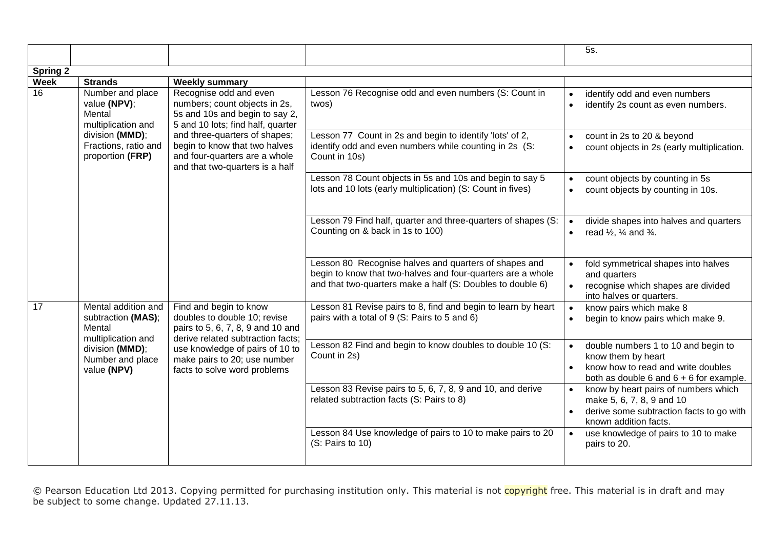|             |                                                                                                                                                                             |                                                                                                                                    |                                                                                                                                                                                    | 5s.                                                                                                                                                 |
|-------------|-----------------------------------------------------------------------------------------------------------------------------------------------------------------------------|------------------------------------------------------------------------------------------------------------------------------------|------------------------------------------------------------------------------------------------------------------------------------------------------------------------------------|-----------------------------------------------------------------------------------------------------------------------------------------------------|
| Spring $2$  |                                                                                                                                                                             |                                                                                                                                    |                                                                                                                                                                                    |                                                                                                                                                     |
| <b>Week</b> | <b>Strands</b>                                                                                                                                                              | <b>Weekly summary</b>                                                                                                              |                                                                                                                                                                                    |                                                                                                                                                     |
| 16          | Number and place<br>value (NPV);<br>Mental<br>multiplication and                                                                                                            | Recognise odd and even<br>numbers; count objects in 2s,<br>5s and 10s and begin to say 2,<br>5 and 10 lots; find half, quarter     | Lesson 76 Recognise odd and even numbers (S: Count in<br>twos)                                                                                                                     | identify odd and even numbers<br>identify 2s count as even numbers.                                                                                 |
|             | division (MMD);<br>Fractions, ratio and<br>proportion (FRP)                                                                                                                 | and three-quarters of shapes;<br>begin to know that two halves<br>and four-quarters are a whole<br>and that two-quarters is a half | Lesson 77 Count in 2s and begin to identify 'lots' of 2,<br>identify odd and even numbers while counting in 2s (S:<br>Count in 10s)                                                | count in 2s to 20 & beyond<br>$\bullet$<br>count objects in 2s (early multiplication.                                                               |
|             |                                                                                                                                                                             |                                                                                                                                    | Lesson 78 Count objects in 5s and 10s and begin to say 5<br>lots and 10 lots (early multiplication) (S: Count in fives)                                                            | count objects by counting in 5s<br>count objects by counting in 10s.                                                                                |
|             |                                                                                                                                                                             | Lesson 79 Find half, quarter and three-quarters of shapes (S:<br>Counting on & back in 1s to 100)                                  | divide shapes into halves and quarters<br>$\bullet$<br>read $\frac{1}{2}$ , $\frac{1}{4}$ and $\frac{3}{4}$ .<br>$\bullet$                                                         |                                                                                                                                                     |
|             |                                                                                                                                                                             |                                                                                                                                    | Lesson 80 Recognise halves and quarters of shapes and<br>begin to know that two-halves and four-quarters are a whole<br>and that two-quarters make a half (S: Doubles to double 6) | fold symmetrical shapes into halves<br>and quarters<br>recognise which shapes are divided<br>$\bullet$<br>into halves or quarters.                  |
| 17          | Mental addition and<br>subtraction (MAS);<br>Mental                                                                                                                         | Find and begin to know<br>doubles to double 10; revise<br>pairs to 5, 6, 7, 8, 9 and 10 and<br>derive related subtraction facts;   | Lesson 81 Revise pairs to 8, find and begin to learn by heart<br>pairs with a total of 9 (S: Pairs to 5 and 6)                                                                     | know pairs which make 8<br>begin to know pairs which make 9.                                                                                        |
|             | multiplication and<br>division (MMD);<br>use knowledge of pairs of 10 to<br>Number and place<br>make pairs to 20; use number<br>value (NPV)<br>facts to solve word problems | Lesson 82 Find and begin to know doubles to double 10 (S:<br>Count in 2s)                                                          | double numbers 1 to 10 and begin to<br>$\bullet$<br>know them by heart<br>know how to read and write doubles<br>$\bullet$<br>both as double $6$ and $6 + 6$ for example.           |                                                                                                                                                     |
|             |                                                                                                                                                                             |                                                                                                                                    | Lesson 83 Revise pairs to 5, 6, 7, 8, 9 and 10, and derive<br>related subtraction facts (S: Pairs to 8)                                                                            | know by heart pairs of numbers which<br>$\bullet$<br>make 5, 6, 7, 8, 9 and 10<br>derive some subtraction facts to go with<br>known addition facts. |
|             |                                                                                                                                                                             |                                                                                                                                    | Lesson 84 Use knowledge of pairs to 10 to make pairs to 20<br>(S: Pairs to 10)                                                                                                     | use knowledge of pairs to 10 to make<br>pairs to 20.                                                                                                |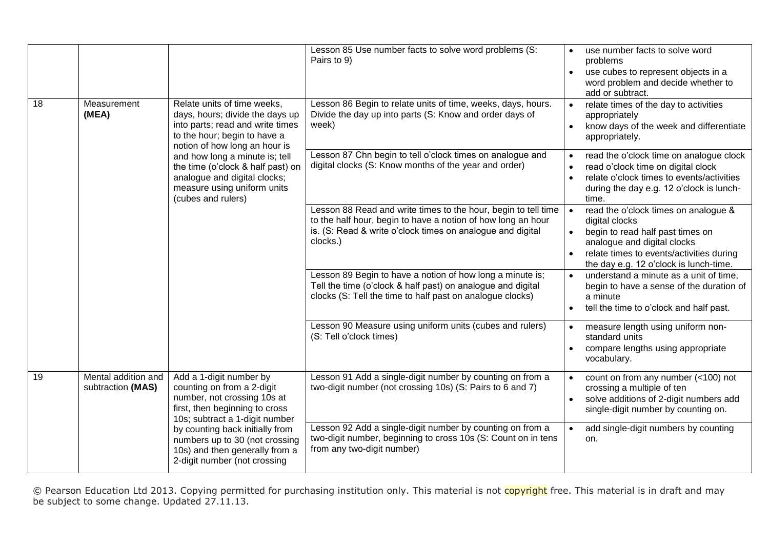| 18 | Relate units of time weeks,<br>Measurement<br>(MEA)<br>days, hours; divide the days up<br>into parts; read and write times<br>to the hour; begin to have a<br>notion of how long an hour is<br>and how long a minute is; tell<br>the time (o'clock & half past) on<br>analogue and digital clocks;<br>measure using uniform units<br>(cubes and rulers) |                                                                                                                                                                                                          | Lesson 85 Use number facts to solve word problems (S:<br>Pairs to 9)<br>Lesson 86 Begin to relate units of time, weeks, days, hours.<br>Divide the day up into parts (S: Know and order days of<br>week)                                  | use number facts to solve word<br>$\bullet$<br>problems<br>use cubes to represent objects in a<br>$\bullet$<br>word problem and decide whether to<br>add or subtract.<br>relate times of the day to activities<br>$\bullet$<br>appropriately<br>know days of the week and differentiate<br>$\bullet$<br>appropriately. |
|----|---------------------------------------------------------------------------------------------------------------------------------------------------------------------------------------------------------------------------------------------------------------------------------------------------------------------------------------------------------|----------------------------------------------------------------------------------------------------------------------------------------------------------------------------------------------------------|-------------------------------------------------------------------------------------------------------------------------------------------------------------------------------------------------------------------------------------------|------------------------------------------------------------------------------------------------------------------------------------------------------------------------------------------------------------------------------------------------------------------------------------------------------------------------|
|    |                                                                                                                                                                                                                                                                                                                                                         | Lesson 87 Chn begin to tell o'clock times on analogue and<br>digital clocks (S: Know months of the year and order)                                                                                       | read the o'clock time on analogue clock<br>read o'clock time on digital clock<br>relate o'clock times to events/activities<br>during the day e.g. 12 o'clock is lunch-<br>time.                                                           |                                                                                                                                                                                                                                                                                                                        |
|    |                                                                                                                                                                                                                                                                                                                                                         | Lesson 88 Read and write times to the hour, begin to tell time<br>to the half hour, begin to have a notion of how long an hour<br>is. (S: Read & write o'clock times on analogue and digital<br>clocks.) | read the o'clock times on analogue &<br>$\bullet$<br>digital clocks<br>begin to read half past times on<br>$\bullet$<br>analogue and digital clocks<br>relate times to events/activities during<br>the day e.g. 12 o'clock is lunch-time. |                                                                                                                                                                                                                                                                                                                        |
|    |                                                                                                                                                                                                                                                                                                                                                         |                                                                                                                                                                                                          | Lesson 89 Begin to have a notion of how long a minute is;<br>Tell the time (o'clock & half past) on analogue and digital<br>clocks (S: Tell the time to half past on analogue clocks)                                                     | understand a minute as a unit of time,<br>$\bullet$<br>begin to have a sense of the duration of<br>a minute<br>tell the time to o'clock and half past.                                                                                                                                                                 |
|    |                                                                                                                                                                                                                                                                                                                                                         | Lesson 90 Measure using uniform units (cubes and rulers)<br>(S: Tell o'clock times)                                                                                                                      | measure length using uniform non-<br>$\bullet$<br>standard units<br>compare lengths using appropriate<br>vocabulary.                                                                                                                      |                                                                                                                                                                                                                                                                                                                        |
| 19 | Mental addition and<br>subtraction (MAS)                                                                                                                                                                                                                                                                                                                | Add a 1-digit number by<br>counting on from a 2-digit<br>number, not crossing 10s at<br>first, then beginning to cross<br>10s; subtract a 1-digit number                                                 | Lesson 91 Add a single-digit number by counting on from a<br>two-digit number (not crossing 10s) (S: Pairs to 6 and 7)                                                                                                                    | count on from any number (<100) not<br>crossing a multiple of ten<br>solve additions of 2-digit numbers add<br>single-digit number by counting on.                                                                                                                                                                     |
|    |                                                                                                                                                                                                                                                                                                                                                         | by counting back initially from<br>numbers up to 30 (not crossing<br>10s) and then generally from a<br>2-digit number (not crossing                                                                      | Lesson 92 Add a single-digit number by counting on from a<br>two-digit number, beginning to cross 10s (S: Count on in tens<br>from any two-digit number)                                                                                  | add single-digit numbers by counting<br>$\bullet$<br>on.                                                                                                                                                                                                                                                               |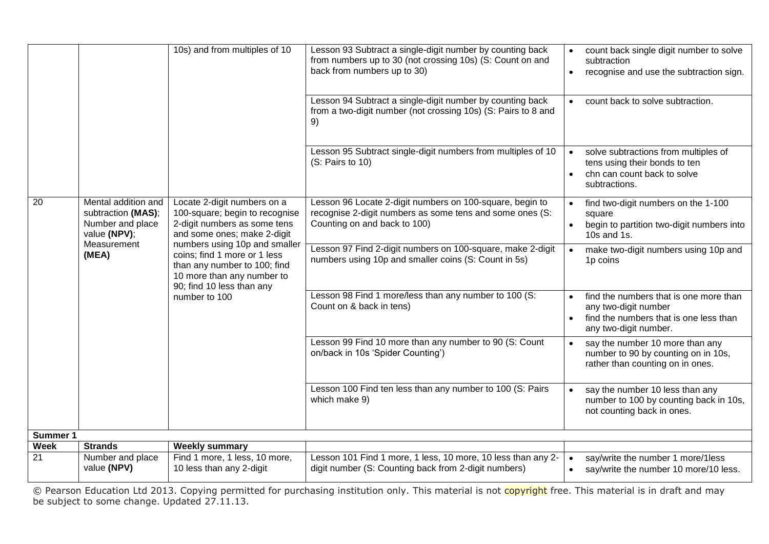|                   |                                                                                              | 10s) and from multiples of 10                                                                                                                                 | Lesson 93 Subtract a single-digit number by counting back<br>from numbers up to 30 (not crossing 10s) (S: Count on and<br>back from numbers up to 30) | count back single digit number to solve<br>subtraction<br>recognise and use the subtraction sign.<br>$\bullet$                                  |
|-------------------|----------------------------------------------------------------------------------------------|---------------------------------------------------------------------------------------------------------------------------------------------------------------|-------------------------------------------------------------------------------------------------------------------------------------------------------|-------------------------------------------------------------------------------------------------------------------------------------------------|
|                   |                                                                                              |                                                                                                                                                               | Lesson 94 Subtract a single-digit number by counting back<br>from a two-digit number (not crossing 10s) (S: Pairs to 8 and<br>9)                      | count back to solve subtraction.                                                                                                                |
|                   |                                                                                              |                                                                                                                                                               | Lesson 95 Subtract single-digit numbers from multiples of 10<br>(S: Pairs to 10)                                                                      | solve subtractions from multiples of<br>$\bullet$<br>tens using their bonds to ten<br>chn can count back to solve<br>$\bullet$<br>subtractions. |
| 20                | Mental addition and<br>subtraction (MAS);<br>Number and place<br>value (NPV);<br>Measurement | Locate 2-digit numbers on a<br>100-square; begin to recognise<br>2-digit numbers as some tens<br>and some ones; make 2-digit<br>numbers using 10p and smaller | Lesson 96 Locate 2-digit numbers on 100-square, begin to<br>recognise 2-digit numbers as some tens and some ones (S:<br>Counting on and back to 100)  | find two-digit numbers on the 1-100<br>$\bullet$<br>square<br>begin to partition two-digit numbers into<br>$\bullet$<br>10s and 1s.             |
|                   | (MEA)                                                                                        | coins; find 1 more or 1 less<br>than any number to 100; find<br>10 more than any number to<br>90; find 10 less than any                                       | Lesson 97 Find 2-digit numbers on 100-square, make 2-digit<br>numbers using 10p and smaller coins (S: Count in 5s)                                    | make two-digit numbers using 10p and<br>$\bullet$<br>1p coins                                                                                   |
|                   |                                                                                              | number to 100                                                                                                                                                 | Lesson 98 Find 1 more/less than any number to 100 (S:<br>Count on & back in tens)                                                                     | find the numbers that is one more than<br>$\bullet$<br>any two-digit number<br>find the numbers that is one less than<br>any two-digit number.  |
|                   |                                                                                              |                                                                                                                                                               | Lesson 99 Find 10 more than any number to 90 (S: Count<br>on/back in 10s 'Spider Counting')                                                           | say the number 10 more than any<br>$\bullet$<br>number to 90 by counting on in 10s,<br>rather than counting on in ones.                         |
|                   |                                                                                              |                                                                                                                                                               | Lesson 100 Find ten less than any number to 100 (S: Pairs<br>which make 9)                                                                            | say the number 10 less than any<br>number to 100 by counting back in 10s,<br>not counting back in ones.                                         |
| <b>Summer 1</b>   |                                                                                              |                                                                                                                                                               |                                                                                                                                                       |                                                                                                                                                 |
| <b>Week</b><br>21 | <b>Strands</b><br>Number and place                                                           | <b>Weekly summary</b><br>Find 1 more, 1 less, 10 more,                                                                                                        | Lesson 101 Find 1 more, 1 less, 10 more, 10 less than any 2-                                                                                          | $\bullet$                                                                                                                                       |
|                   | value (NPV)                                                                                  | 10 less than any 2-digit                                                                                                                                      | digit number (S: Counting back from 2-digit numbers)                                                                                                  | say/write the number 1 more/1less<br>say/write the number 10 more/10 less.<br>$\bullet$                                                         |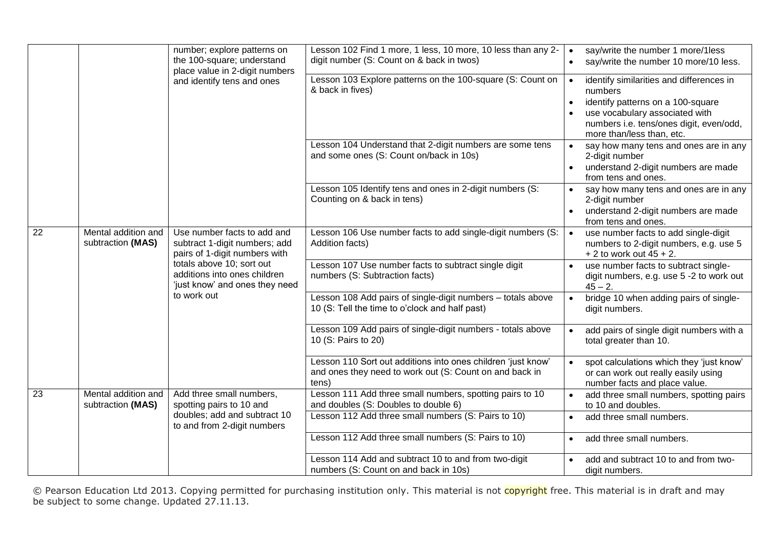|                 |                                          | number; explore patterns on<br>the 100-square; understand<br>place value in 2-digit numbers                                                                                                  | Lesson 102 Find 1 more, 1 less, 10 more, 10 less than any 2-<br>digit number (S: Count on & back in twos)                                                                                                       | say/write the number 1 more/1less<br>$\bullet$<br>say/write the number 10 more/10 less.                                                         |
|-----------------|------------------------------------------|----------------------------------------------------------------------------------------------------------------------------------------------------------------------------------------------|-----------------------------------------------------------------------------------------------------------------------------------------------------------------------------------------------------------------|-------------------------------------------------------------------------------------------------------------------------------------------------|
|                 | and identify tens and ones               | Lesson 103 Explore patterns on the 100-square (S: Count on<br>& back in fives)                                                                                                               | identify similarities and differences in<br>$\bullet$<br>numbers<br>identify patterns on a 100-square<br>use vocabulary associated with<br>numbers i.e. tens/ones digit, even/odd,<br>more than/less than, etc. |                                                                                                                                                 |
|                 |                                          |                                                                                                                                                                                              | Lesson 104 Understand that 2-digit numbers are some tens<br>and some ones (S: Count on/back in 10s)                                                                                                             | say how many tens and ones are in any<br>$\bullet$<br>2-digit number<br>understand 2-digit numbers are made<br>$\bullet$<br>from tens and ones. |
|                 |                                          |                                                                                                                                                                                              | Lesson 105 Identify tens and ones in 2-digit numbers (S:<br>Counting on & back in tens)                                                                                                                         | say how many tens and ones are in any<br>$\bullet$<br>2-digit number<br>understand 2-digit numbers are made<br>$\bullet$<br>from tens and ones. |
| $\overline{22}$ | Mental addition and<br>subtraction (MAS) | Use number facts to add and<br>subtract 1-digit numbers; add<br>pairs of 1-digit numbers with<br>totals above 10; sort out<br>additions into ones children<br>'just know' and ones they need | Lesson 106 Use number facts to add single-digit numbers (S:<br>Addition facts)                                                                                                                                  | use number facts to add single-digit<br>$\bullet$<br>numbers to 2-digit numbers, e.g. use 5<br>$+2$ to work out 45 + 2.                         |
|                 |                                          |                                                                                                                                                                                              | Lesson 107 Use number facts to subtract single digit<br>numbers (S: Subtraction facts)                                                                                                                          | use number facts to subtract single-<br>digit numbers, e.g. use 5 -2 to work out<br>$45 - 2$ .                                                  |
|                 |                                          | to work out                                                                                                                                                                                  | Lesson 108 Add pairs of single-digit numbers - totals above<br>10 (S: Tell the time to o'clock and half past)                                                                                                   | bridge 10 when adding pairs of single-<br>$\bullet$<br>digit numbers.                                                                           |
|                 |                                          |                                                                                                                                                                                              | Lesson 109 Add pairs of single-digit numbers - totals above<br>10 (S: Pairs to 20)                                                                                                                              | add pairs of single digit numbers with a<br>$\bullet$<br>total greater than 10.                                                                 |
|                 |                                          |                                                                                                                                                                                              | Lesson 110 Sort out additions into ones children 'just know'<br>and ones they need to work out (S: Count on and back in<br>tens)                                                                                | spot calculations which they 'just know'<br>$\bullet$<br>or can work out really easily using<br>number facts and place value.                   |
| $\overline{23}$ | Mental addition and<br>subtraction (MAS) | Add three small numbers,<br>spotting pairs to 10 and                                                                                                                                         | Lesson 111 Add three small numbers, spotting pairs to 10<br>and doubles (S: Doubles to double 6)                                                                                                                | add three small numbers, spotting pairs<br>$\bullet$<br>to 10 and doubles.                                                                      |
|                 |                                          | doubles; add and subtract 10<br>to and from 2-digit numbers                                                                                                                                  | Lesson 112 Add three small numbers (S: Pairs to 10)                                                                                                                                                             | add three small numbers.<br>$\bullet$                                                                                                           |
|                 |                                          |                                                                                                                                                                                              | Lesson 112 Add three small numbers (S: Pairs to 10)                                                                                                                                                             | add three small numbers.<br>$\bullet$                                                                                                           |
|                 |                                          |                                                                                                                                                                                              | Lesson 114 Add and subtract 10 to and from two-digit<br>numbers (S: Count on and back in 10s)                                                                                                                   | add and subtract 10 to and from two-<br>digit numbers.                                                                                          |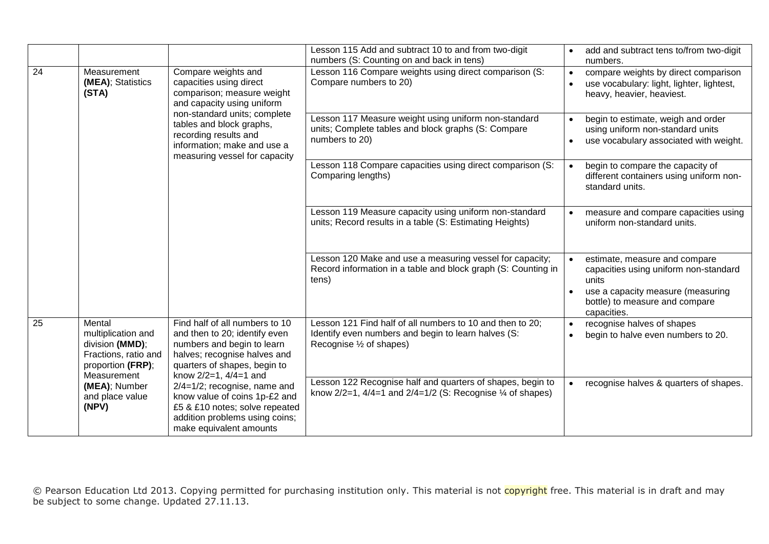|                 |                                                                                                             |                                                                                                                                                                                                                                                                 | Lesson 115 Add and subtract 10 to and from two-digit<br>numbers (S: Counting on and back in tens)                                            | add and subtract tens to/from two-digit<br>$\bullet$<br>numbers.                                                                                                                                |
|-----------------|-------------------------------------------------------------------------------------------------------------|-----------------------------------------------------------------------------------------------------------------------------------------------------------------------------------------------------------------------------------------------------------------|----------------------------------------------------------------------------------------------------------------------------------------------|-------------------------------------------------------------------------------------------------------------------------------------------------------------------------------------------------|
| $\overline{24}$ | Measurement<br>(MEA); Statistics<br>(STA)                                                                   | Compare weights and<br>capacities using direct<br>comparison; measure weight<br>and capacity using uniform<br>non-standard units; complete<br>tables and block graphs,<br>recording results and<br>information; make and use a<br>measuring vessel for capacity | Lesson 116 Compare weights using direct comparison (S:<br>Compare numbers to 20)                                                             | compare weights by direct comparison<br>$\bullet$<br>use vocabulary: light, lighter, lightest,<br>$\bullet$<br>heavy, heavier, heaviest.                                                        |
|                 |                                                                                                             |                                                                                                                                                                                                                                                                 | Lesson 117 Measure weight using uniform non-standard<br>units; Complete tables and block graphs (S: Compare<br>numbers to 20)                | begin to estimate, weigh and order<br>$\bullet$<br>using uniform non-standard units<br>use vocabulary associated with weight.<br>$\bullet$                                                      |
|                 |                                                                                                             |                                                                                                                                                                                                                                                                 | Lesson 118 Compare capacities using direct comparison (S:<br>Comparing lengths)                                                              | begin to compare the capacity of<br>$\bullet$<br>different containers using uniform non-<br>standard units.                                                                                     |
|                 |                                                                                                             |                                                                                                                                                                                                                                                                 | Lesson 119 Measure capacity using uniform non-standard<br>units; Record results in a table (S: Estimating Heights)                           | measure and compare capacities using<br>$\bullet$<br>uniform non-standard units.                                                                                                                |
|                 |                                                                                                             |                                                                                                                                                                                                                                                                 | Lesson 120 Make and use a measuring vessel for capacity;<br>Record information in a table and block graph (S: Counting in<br>tens)           | estimate, measure and compare<br>$\bullet$<br>capacities using uniform non-standard<br>units<br>use a capacity measure (measuring<br>$\bullet$<br>bottle) to measure and compare<br>capacities. |
| $\overline{25}$ | Mental<br>multiplication and<br>division (MMD);<br>Fractions, ratio and<br>proportion (FRP);<br>Measurement | Find half of all numbers to 10<br>and then to 20; identify even<br>numbers and begin to learn<br>halves; recognise halves and<br>quarters of shapes, begin to<br>know 2/2=1, 4/4=1 and                                                                          | Lesson 121 Find half of all numbers to 10 and then to 20;<br>Identify even numbers and begin to learn halves (S:<br>Recognise 1/2 of shapes) | recognise halves of shapes<br>$\bullet$<br>begin to halve even numbers to 20.<br>$\bullet$                                                                                                      |
|                 | (MEA); Number<br>and place value<br>(NPV)                                                                   | 2/4=1/2; recognise, name and<br>know value of coins 1p-£2 and<br>£5 & £10 notes; solve repeated<br>addition problems using coins;<br>make equivalent amounts                                                                                                    | Lesson 122 Recognise half and quarters of shapes, begin to<br>know $2/2=1$ , $4/4=1$ and $2/4=1/2$ (S: Recognise $\frac{1}{4}$ of shapes)    | recognise halves & quarters of shapes.<br>$\bullet$                                                                                                                                             |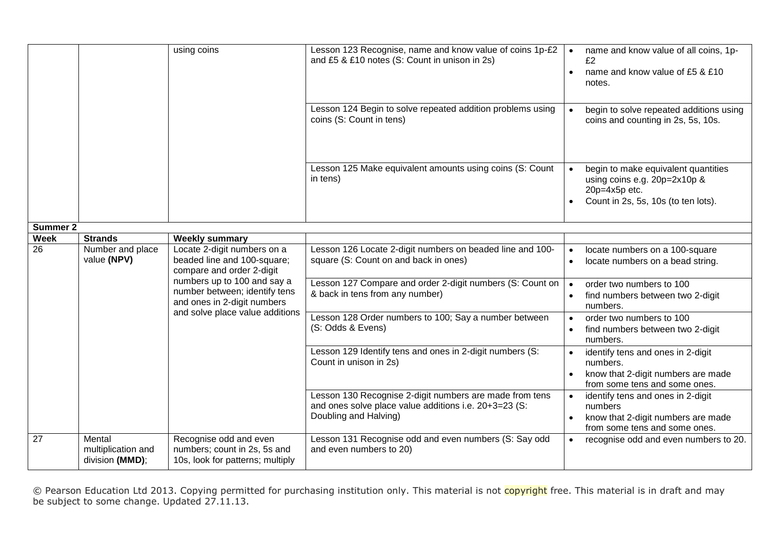|                   |                                                   | using coins                                                                                                      | Lesson 123 Recognise, name and know value of coins 1p-£2<br>and £5 & £10 notes (S: Count in unison in 2s)                                 | name and know value of all coins, 1p-<br>$\bullet$<br>f2<br>name and know value of £5 & £10<br>$\bullet$<br>notes.                            |
|-------------------|---------------------------------------------------|------------------------------------------------------------------------------------------------------------------|-------------------------------------------------------------------------------------------------------------------------------------------|-----------------------------------------------------------------------------------------------------------------------------------------------|
|                   |                                                   |                                                                                                                  | Lesson 124 Begin to solve repeated addition problems using<br>coins (S: Count in tens)                                                    | begin to solve repeated additions using<br>$\bullet$<br>coins and counting in 2s, 5s, 10s.                                                    |
|                   |                                                   |                                                                                                                  | Lesson 125 Make equivalent amounts using coins (S: Count<br>in tens)                                                                      | begin to make equivalent quantities<br>$\bullet$<br>using coins e.g. 20p=2x10p &<br>20p=4x5p etc.<br>Count in 2s, 5s, 10s (to ten lots).      |
| <b>Summer 2</b>   |                                                   |                                                                                                                  |                                                                                                                                           |                                                                                                                                               |
| <b>Week</b><br>26 | <b>Strands</b><br>Number and place<br>value (NPV) | <b>Weekly summary</b><br>Locate 2-digit numbers on a<br>beaded line and 100-square;<br>compare and order 2-digit | Lesson 126 Locate 2-digit numbers on beaded line and 100-<br>square (S: Count on and back in ones)                                        | locate numbers on a 100-square<br>$\bullet$<br>locate numbers on a bead string.<br>$\bullet$                                                  |
|                   |                                                   | numbers up to 100 and say a<br>number between; identify tens<br>and ones in 2-digit numbers                      | Lesson 127 Compare and order 2-digit numbers (S: Count on<br>& back in tens from any number)                                              | order two numbers to 100<br>$\bullet$<br>find numbers between two 2-digit<br>numbers.                                                         |
|                   |                                                   | and solve place value additions                                                                                  | Lesson 128 Order numbers to 100; Say a number between<br>(S: Odds & Evens)                                                                | order two numbers to 100<br>$\bullet$<br>find numbers between two 2-digit<br>$\bullet$<br>numbers.                                            |
|                   |                                                   |                                                                                                                  | Lesson 129 Identify tens and ones in 2-digit numbers (S:<br>Count in unison in 2s)                                                        | identify tens and ones in 2-digit<br>$\bullet$<br>numbers.<br>know that 2-digit numbers are made<br>from some tens and some ones.             |
|                   |                                                   |                                                                                                                  | Lesson 130 Recognise 2-digit numbers are made from tens<br>and ones solve place value additions i.e. 20+3=23 (S:<br>Doubling and Halving) | identify tens and ones in 2-digit<br>$\bullet$<br>numbers<br>know that 2-digit numbers are made<br>$\bullet$<br>from some tens and some ones. |
| 27                | Mental<br>multiplication and<br>division (MMD);   | Recognise odd and even<br>numbers; count in 2s, 5s and<br>10s, look for patterns; multiply                       | Lesson 131 Recognise odd and even numbers (S: Say odd<br>and even numbers to 20)                                                          | recognise odd and even numbers to 20.<br>$\bullet$                                                                                            |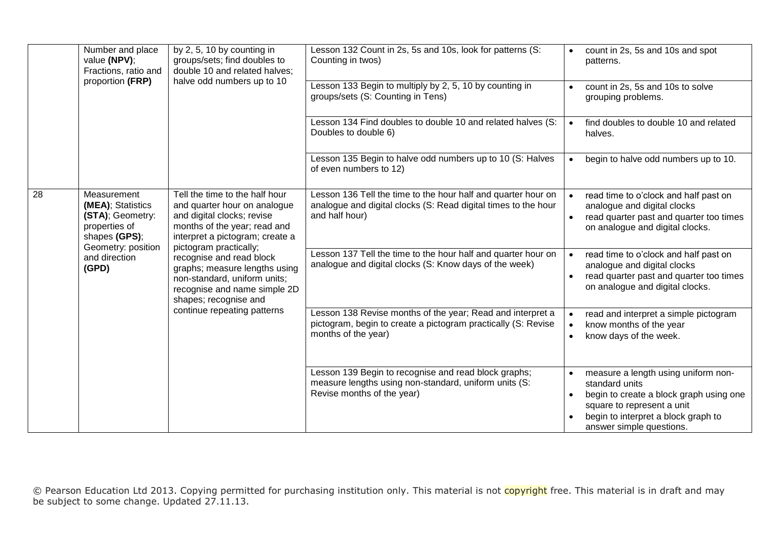|    | Number and place<br>value (NPV);<br>Fractions, ratio and<br>proportion (FRP)                                                           | by 2, 5, 10 by counting in<br>groups/sets; find doubles to<br>double 10 and related halves;<br>halve odd numbers up to 10                                                                                                                                                                                                                                                      | Lesson 132 Count in 2s, 5s and 10s, look for patterns (S:<br>Counting in twos)                                                                     | count in 2s, 5s and 10s and spot<br>$\bullet$<br>patterns.                                                                                                                                                                  |
|----|----------------------------------------------------------------------------------------------------------------------------------------|--------------------------------------------------------------------------------------------------------------------------------------------------------------------------------------------------------------------------------------------------------------------------------------------------------------------------------------------------------------------------------|----------------------------------------------------------------------------------------------------------------------------------------------------|-----------------------------------------------------------------------------------------------------------------------------------------------------------------------------------------------------------------------------|
|    |                                                                                                                                        |                                                                                                                                                                                                                                                                                                                                                                                | Lesson 133 Begin to multiply by 2, 5, 10 by counting in<br>groups/sets (S: Counting in Tens)                                                       | count in 2s, 5s and 10s to solve<br>$\bullet$<br>grouping problems.                                                                                                                                                         |
|    |                                                                                                                                        |                                                                                                                                                                                                                                                                                                                                                                                | Lesson 134 Find doubles to double 10 and related halves (S:<br>Doubles to double 6)                                                                | find doubles to double 10 and related<br>$\bullet$<br>halves.                                                                                                                                                               |
|    |                                                                                                                                        |                                                                                                                                                                                                                                                                                                                                                                                | Lesson 135 Begin to halve odd numbers up to 10 (S: Halves<br>of even numbers to 12)                                                                | begin to halve odd numbers up to 10.<br>$\bullet$                                                                                                                                                                           |
| 28 | Measurement<br>(MEA); Statistics<br>(STA); Geometry:<br>properties of<br>shapes (GPS);<br>Geometry: position<br>and direction<br>(GPD) | Tell the time to the half hour<br>and quarter hour on analogue<br>and digital clocks; revise<br>months of the year; read and<br>interpret a pictogram; create a<br>pictogram practically;<br>recognise and read block<br>graphs; measure lengths using<br>non-standard, uniform units;<br>recognise and name simple 2D<br>shapes; recognise and<br>continue repeating patterns | Lesson 136 Tell the time to the hour half and quarter hour on<br>analogue and digital clocks (S: Read digital times to the hour<br>and half hour)  | read time to o'clock and half past on<br>$\bullet$<br>analogue and digital clocks<br>read quarter past and quarter too times<br>$\bullet$<br>on analogue and digital clocks.                                                |
|    |                                                                                                                                        |                                                                                                                                                                                                                                                                                                                                                                                | Lesson 137 Tell the time to the hour half and quarter hour on<br>analogue and digital clocks (S: Know days of the week)                            | read time to o'clock and half past on<br>$\bullet$<br>analogue and digital clocks<br>read quarter past and quarter too times<br>on analogue and digital clocks.                                                             |
|    |                                                                                                                                        |                                                                                                                                                                                                                                                                                                                                                                                | Lesson 138 Revise months of the year; Read and interpret a<br>pictogram, begin to create a pictogram practically (S: Revise<br>months of the year) | read and interpret a simple pictogram<br>$\bullet$<br>know months of the year<br>$\bullet$<br>know days of the week.<br>$\bullet$                                                                                           |
|    |                                                                                                                                        |                                                                                                                                                                                                                                                                                                                                                                                | Lesson 139 Begin to recognise and read block graphs;<br>measure lengths using non-standard, uniform units (S:<br>Revise months of the year)        | measure a length using uniform non-<br>$\bullet$<br>standard units<br>begin to create a block graph using one<br>$\bullet$<br>square to represent a unit<br>begin to interpret a block graph to<br>answer simple questions. |